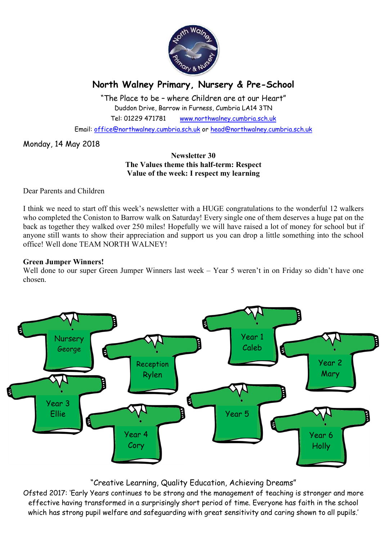

# North Walney Primary, Nursery & Pre-School

"The Place to be – where Children are at our Heart" Duddon Drive, Barrow in Furness, Cumbria LA14 3TN Tel: 01229 471781 www.northwalney.cumbria.sch.uk

Email: office@northwalney.cumbria.sch.uk or head@northwalney.cumbria.sch.uk

## Monday, 14 May 2018

## Newsletter 30 The Values theme this half-term: Respect Value of the week: I respect my learning

Dear Parents and Children

I think we need to start off this week's newsletter with a HUGE congratulations to the wonderful 12 walkers who completed the Coniston to Barrow walk on Saturday! Every single one of them deserves a huge pat on the back as together they walked over 250 miles! Hopefully we will have raised a lot of money for school but if anyone still wants to show their appreciation and support us you can drop a little something into the school office! Well done TEAM NORTH WALNEY!

#### Green Jumper Winners!

Well done to our super Green Jumper Winners last week – Year 5 weren't in on Friday so didn't have one chosen.



## "Creative Learning, Quality Education, Achieving Dreams"

Ofsted 2017: 'Early Years continues to be strong and the management of teaching is stronger and more effective having transformed in a surprisingly short period of time. Everyone has faith in the school which has strong pupil welfare and safeguarding with great sensitivity and caring shown to all pupils.'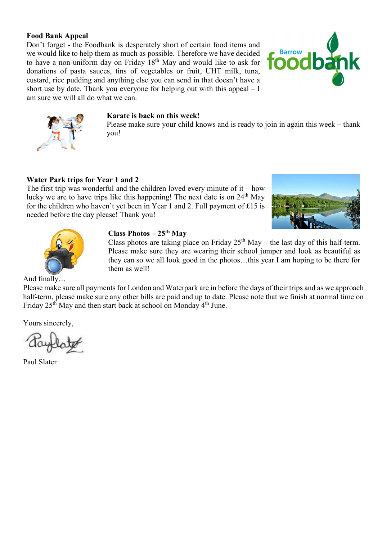## Food Bank Appeal

Don't forget - the Foodbank is desperately short of certain food items and we would like to help them as much as possible. Therefore we have decided to have a non-uniform day on Friday  $18<sup>th</sup>$  May and would like to ask for donations of pasta sauces, tins of vegetables or fruit, UHT milk, tuna, custard, rice pudding and anything else you can send in that doesn't have a short use by date. Thank you everyone for helping out with this appeal  $- I$ am sure we will all do what we can.



## Karate is back on this week!

Please make sure your child knows and is ready to join in again this week – thank you!

## Water Park trips for Year 1 and 2

The first trip was wonderful and the children loved every minute of it – how lucky we are to have trips like this happening! The next date is on  $24<sup>th</sup>$  May for the children who haven't yet been in Year 1 and 2. Full payment of £15 is needed before the day please! Thank you!





#### Class Photos  $-25$ <sup>th</sup> May

Class photos are taking place on Friday  $25<sup>th</sup>$  May – the last day of this half-term. Please make sure they are wearing their school jumper and look as beautiful as they can so we all look good in the photos…this year I am hoping to be there for them as well!

## And finally…

Please make sure all payments for London and Waterpark are in before the days of their trips and as we approach half-term, please make sure any other bills are paid and up to date. Please note that we finish at normal time on Friday  $25<sup>th</sup>$  May and then start back at school on Monday  $4<sup>th</sup>$  June.

Yours sincerely,

Paul Slater